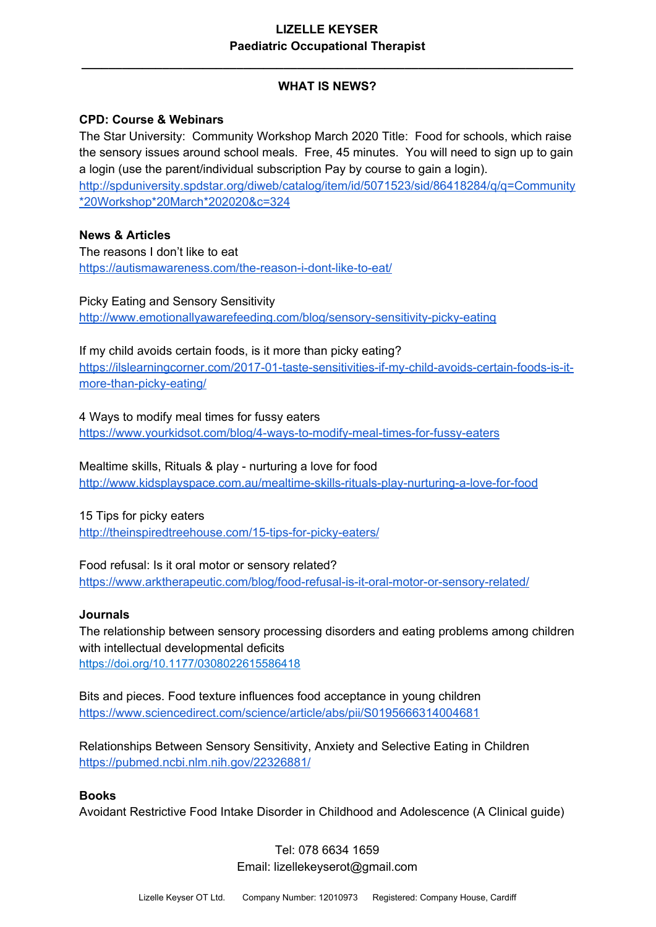# **WHAT IS NEWS?**

**\_\_\_\_\_\_\_\_\_\_\_\_\_\_\_\_\_\_\_\_\_\_\_\_\_\_\_\_\_\_\_\_\_\_\_\_\_\_\_\_\_\_\_\_\_\_\_\_\_\_\_\_\_\_\_\_\_\_\_\_\_\_\_\_\_\_\_\_\_\_\_\_\_**

#### **CPD: Course & Webinars**

The Star University: Community Workshop March 2020 Title: Food for schools, which raise the sensory issues around school meals. Free, 45 minutes. You will need to sign up to gain a login (use the parent/individual subscription Pay by course to gain a login). [http://spduniversity.spdstar.org/diweb/catalog/item/id/5071523/sid/86418284/q/q=Community](http://spduniversity.spdstar.org/diweb/catalog/item/id/5071523/sid/86418284/q/q=Community*20Workshop*20March*202020&c=324) [\\*20Workshop\\*20March\\*202020&c=324](http://spduniversity.spdstar.org/diweb/catalog/item/id/5071523/sid/86418284/q/q=Community*20Workshop*20March*202020&c=324)

#### **News & Articles**

The reasons I don't like to eat <https://autismawareness.com/the-reason-i-dont-like-to-eat/>

Picky Eating and Sensory Sensitivity <http://www.emotionallyawarefeeding.com/blog/sensory-sensitivity-picky-eating>

If my child avoids certain foods, is it more than picky eating? [https://ilslearningcorner.com/2017-01-taste-sensitivities-if-my-child-avoids-certain-foods-is-it](https://ilslearningcorner.com/2017-01-taste-sensitivities-if-my-child-avoids-certain-foods-is-it-more-than-picky-eating/)[more-than-picky-eating/](https://ilslearningcorner.com/2017-01-taste-sensitivities-if-my-child-avoids-certain-foods-is-it-more-than-picky-eating/)

4 Ways to modify meal times for fussy eaters <https://www.yourkidsot.com/blog/4-ways-to-modify-meal-times-for-fussy-eaters>

Mealtime skills, Rituals & play - nurturing a love for food <http://www.kidsplayspace.com.au/mealtime-skills-rituals-play-nurturing-a-love-for-food>

15 Tips for picky eaters

<http://theinspiredtreehouse.com/15-tips-for-picky-eaters/>

Food refusal: Is it oral motor or sensory related? <https://www.arktherapeutic.com/blog/food-refusal-is-it-oral-motor-or-sensory-related/>

#### **Journals**

The relationship between sensory processing disorders and eating problems among children with intellectual developmental deficits [https://doi.org/10.1177/0308022615586418](https://doi.org/10.1177%2F0308022615586418)

Bits and pieces. Food texture influences food acceptance in young children <https://www.sciencedirect.com/science/article/abs/pii/S0195666314004681>

Relationships Between Sensory Sensitivity, Anxiety and Selective Eating in Children <https://pubmed.ncbi.nlm.nih.gov/22326881/>

#### **Books**

Avoidant Restrictive Food Intake Disorder in Childhood and Adolescence (A Clinical guide)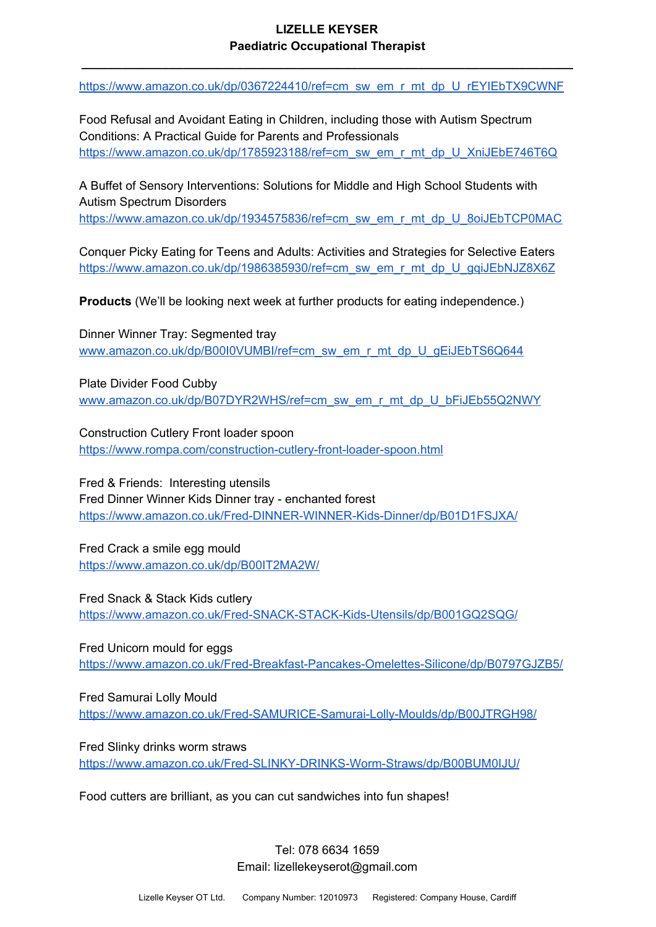**\_\_\_\_\_\_\_\_\_\_\_\_\_\_\_\_\_\_\_\_\_\_\_\_\_\_\_\_\_\_\_\_\_\_\_\_\_\_\_\_\_\_\_\_\_\_\_\_\_\_\_\_\_\_\_\_\_\_\_\_\_\_\_\_\_\_\_\_\_\_\_\_\_**

[https://www.amazon.co.uk/dp/0367224410/ref=cm\\_sw\\_em\\_r\\_mt\\_dp\\_U\\_rEYIEbTX9CWNF](https://www.amazon.co.uk/dp/0367224410/ref=cm_sw_em_r_mt_dp_U_rEYIEbTX9CWNF)

Food Refusal and Avoidant Eating in Children, including those with Autism Spectrum Conditions: A Practical Guide for Parents and Professionals [https://www.amazon.co.uk/dp/1785923188/ref=cm\\_sw\\_em\\_r\\_mt\\_dp\\_U\\_XniJEbE746T6Q](https://www.amazon.co.uk/dp/1785923188/ref=cm_sw_em_r_mt_dp_U_XniJEbE746T6Q)

A Buffet of Sensory Interventions: Solutions for Middle and High School Students with Autism Spectrum Disorders

[https://www.amazon.co.uk/dp/1934575836/ref=cm\\_sw\\_em\\_r\\_mt\\_dp\\_U\\_8oiJEbTCP0MAC](https://www.amazon.co.uk/dp/1934575836/ref=cm_sw_em_r_mt_dp_U_8oiJEbTCP0MAC)

Conquer Picky Eating for Teens and Adults: Activities and Strategies for Selective Eaters [https://www.amazon.co.uk/dp/1986385930/ref=cm\\_sw\\_em\\_r\\_mt\\_dp\\_U\\_gqiJEbNJZ8X6Z](https://www.amazon.co.uk/dp/1986385930/ref=cm_sw_em_r_mt_dp_U_gqiJEbNJZ8X6Z)

**Products** (We'll be looking next week at further products for eating independence.)

Dinner Winner Tray: Segmented tray [www.amazon.co.uk/dp/B00I0VUMBI/ref=cm\\_sw\\_em\\_r\\_mt\\_dp\\_U\\_gEiJEbTS6Q644](https://www.amazon.co.uk/dp/B00I0VUMBI/ref=cm_sw_em_r_mt_dp_U_gEiJEbTS6Q644)

Plate Divider Food Cubby [www.amazon.co.uk/dp/B07DYR2WHS/ref=cm\\_sw\\_em\\_r\\_mt\\_dp\\_U\\_bFiJEb55Q2NWY](https://www.amazon.co.uk/dp/B07DYR2WHS/ref=cm_sw_em_r_mt_dp_U_bFiJEb55Q2NWY)

Construction Cutlery Front loader spoon <https://www.rompa.com/construction-cutlery-front-loader-spoon.html>

Fred & Friends: Interesting utensils Fred Dinner Winner Kids Dinner tray - enchanted forest <https://www.amazon.co.uk/Fred-DINNER-WINNER-Kids-Dinner/dp/B01D1FSJXA/>

Fred Crack a smile egg mould <https://www.amazon.co.uk/dp/B00IT2MA2W/>

Fred Snack & Stack Kids cutlery <https://www.amazon.co.uk/Fred-SNACK-STACK-Kids-Utensils/dp/B001GQ2SQG/>

Fred Unicorn mould for eggs <https://www.amazon.co.uk/Fred-Breakfast-Pancakes-Omelettes-Silicone/dp/B0797GJZB5/>

Fred Samurai Lolly Mould <https://www.amazon.co.uk/Fred-SAMURICE-Samurai-Lolly-Moulds/dp/B00JTRGH98/>

Fred Slinky drinks worm straws <https://www.amazon.co.uk/Fred-SLINKY-DRINKS-Worm-Straws/dp/B00BUM0IJU/>

Food cutters are brilliant, as you can cut sandwiches into fun shapes!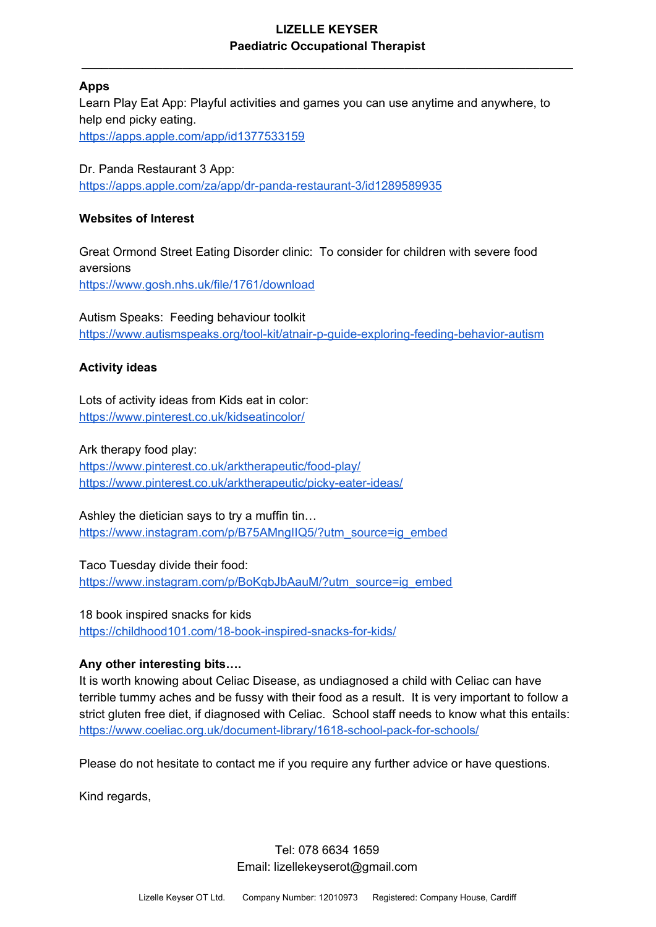**\_\_\_\_\_\_\_\_\_\_\_\_\_\_\_\_\_\_\_\_\_\_\_\_\_\_\_\_\_\_\_\_\_\_\_\_\_\_\_\_\_\_\_\_\_\_\_\_\_\_\_\_\_\_\_\_\_\_\_\_\_\_\_\_\_\_\_\_\_\_\_\_\_**

# **Apps**

Learn Play Eat App: Playful activities and games you can use anytime and anywhere, to help end picky eating. <https://apps.apple.com/app/id1377533159>

Dr. Panda Restaurant 3 App: <https://apps.apple.com/za/app/dr-panda-restaurant-3/id1289589935>

## **Websites of Interest**

Great Ormond Street Eating Disorder clinic: To consider for children with severe food aversions <https://www.gosh.nhs.uk/file/1761/download>

Autism Speaks: Feeding behaviour toolkit <https://www.autismspeaks.org/tool-kit/atnair-p-guide-exploring-feeding-behavior-autism>

# **Activity ideas**

Lots of activity ideas from Kids eat in color: <https://www.pinterest.co.uk/kidseatincolor/>

Ark therapy food play: <https://www.pinterest.co.uk/arktherapeutic/food-play/> <https://www.pinterest.co.uk/arktherapeutic/picky-eater-ideas/>

Ashley the dietician says to try a muffin tin… [https://www.instagram.com/p/B75AMngIIQ5/?utm\\_source=ig\\_embed](https://www.instagram.com/p/B75AMngIIQ5/?utm_source=ig_embed)

Taco Tuesday divide their food: [https://www.instagram.com/p/BoKqbJbAauM/?utm\\_source=ig\\_embed](https://www.instagram.com/p/BoKqbJbAauM/?utm_source=ig_embed)

18 book inspired snacks for kids <https://childhood101.com/18-book-inspired-snacks-for-kids/>

# **Any other interesting bits….**

It is worth knowing about Celiac Disease, as undiagnosed a child with Celiac can have terrible tummy aches and be fussy with their food as a result. It is very important to follow a strict gluten free diet, if diagnosed with Celiac. School staff needs to know what this entails: <https://www.coeliac.org.uk/document-library/1618-school-pack-for-schools/>

Please do not hesitate to contact me if you require any further advice or have questions.

Kind regards,